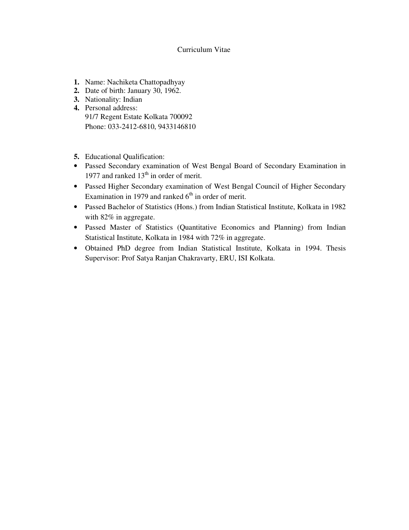#### Curriculum Vitae

- **1.** Name: Nachiketa Chattopadhyay
- **2.** Date of birth: January 30, 1962.
- **3.** Nationality: Indian **4.** Personal address: 91/7 Regent Estate Kolkata 700092 Phone: 033-2412-6810, 9433146810
- **5.** Educational Qualification:
- Passed Secondary examination of West Bengal Board of Secondary Examination in 1977 and ranked  $13<sup>th</sup>$  in order of merit.
- Passed Higher Secondary examination of West Bengal Council of Higher Secondary Examination in 1979 and ranked  $6<sup>th</sup>$  in order of merit.
- Passed Bachelor of Statistics (Hons.) from Indian Statistical Institute, Kolkata in 1982 with 82% in aggregate.
- Passed Master of Statistics (Quantitative Economics and Planning) from Indian Statistical Institute, Kolkata in 1984 with 72% in aggregate.
- Obtained PhD degree from Indian Statistical Institute, Kolkata in 1994. Thesis Supervisor: Prof Satya Ranjan Chakravarty, ERU, ISI Kolkata.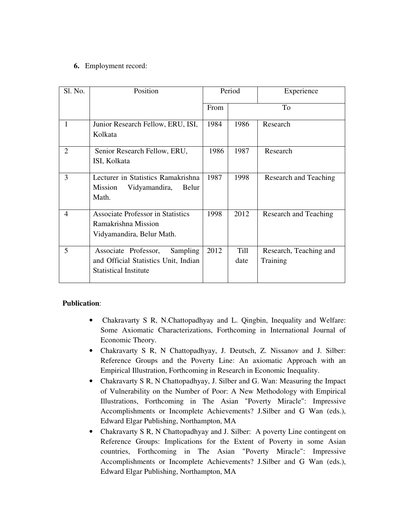# **6.** Employment record:

| Sl. No.        | Position                                                                                                 | Period      |              | Experience                         |
|----------------|----------------------------------------------------------------------------------------------------------|-------------|--------------|------------------------------------|
|                |                                                                                                          | <b>From</b> |              | To                                 |
| 1              | Junior Research Fellow, ERU, ISI,<br>Kolkata                                                             | 1984        | 1986         | Research                           |
| 2              | Senior Research Fellow, ERU,<br>ISI, Kolkata                                                             | 1986        | 1987         | Research                           |
| 3              | Lecturer in Statistics Ramakrishna<br>Vidyamandira,<br><b>Mission</b><br>Belur<br>Math.                  | 1987        | 1998         | Research and Teaching              |
| $\overline{4}$ | <b>Associate Professor in Statistics</b><br>Ramakrishna Mission<br>Vidyamandira, Belur Math.             | 1998        | 2012         | Research and Teaching              |
| 5              | Associate Professor,<br>Sampling<br>and Official Statistics Unit, Indian<br><b>Statistical Institute</b> | 2012        | Till<br>date | Research, Teaching and<br>Training |

# **Publication**:

- Chakravarty S R, N.Chattopadhyay and L. Qingbin, Inequality and Welfare: Some Axiomatic Characterizations, Forthcoming in International Journal of Economic Theory.
- Chakravarty S R, N Chattopadhyay, J. Deutsch, Z. Nissanov and J. Silber: Reference Groups and the Poverty Line: An axiomatic Approach with an Empirical Illustration, Forthcoming in Research in Economic Inequality.
- Chakravarty S R, N Chattopadhyay, J. Silber and G. Wan: Measuring the Impact of Vulnerability on the Number of Poor: A New Methodology with Empirical Illustrations, Forthcoming in The Asian "Poverty Miracle": Impressive Accomplishments or Incomplete Achievements? J.Silber and G Wan (eds.), Edward Elgar Publishing, Northampton, MA
- Chakravarty S R, N Chattopadhyay and J. Silber: A poverty Line contingent on Reference Groups: Implications for the Extent of Poverty in some Asian countries, Forthcoming in The Asian "Poverty Miracle": Impressive Accomplishments or Incomplete Achievements? J.Silber and G Wan (eds.), Edward Elgar Publishing, Northampton, MA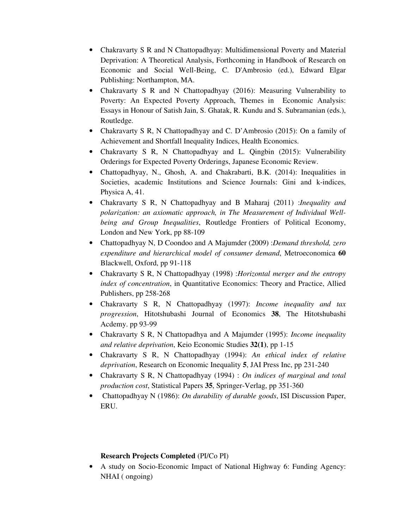- Chakravarty S R and N Chattopadhyay: Multidimensional Poverty and Material Deprivation: A Theoretical Analysis, Forthcoming in Handbook of Research on Economic and Social Well-Being, C. D'Ambrosio (ed.), Edward Elgar Publishing: Northampton, MA.
- Chakravarty S R and N Chattopadhyay (2016): Measuring Vulnerability to Poverty: An Expected Poverty Approach, Themes in Economic Analysis: Essays in Honour of Satish Jain, S. Ghatak, R. Kundu and S. Subramanian (eds.), Routledge.
- Chakravarty S R, N Chattopadhyay and C. D'Ambrosio (2015): On a family of Achievement and Shortfall Inequality Indices, Health Economics.
- Chakravarty S R, N Chattopadhyay and L. Qingbin (2015): Vulnerability Orderings for Expected Poverty Orderings, Japanese Economic Review.
- Chattopadhyay, N., Ghosh, A. and Chakrabarti, B.K. (2014): Inequalities in Societies, academic Institutions and Science Journals: Gini and k-indices, Physica A, 41.
- Chakravarty S R, N Chattopadhyay and B Maharaj (2011) :*Inequality and polarization: an axiomatic approach, in The Measurement of Individual Wellbeing and Group Inequalities*, Routledge Frontiers of Political Economy, London and New York, pp 88-109
- Chattopadhyay N, D Coondoo and A Majumder (2009) :*Demand threshold, zero expenditure and hierarchical model of consumer demand*, Metroeconomica **60** Blackwell, Oxford, pp 91-118
- Chakravarty S R, N Chattopadhyay (1998) :*Horizontal merger and the entropy index of concentration*, in Quantitative Economics: Theory and Practice, Allied Publishers, pp 258-268
- Chakravarty S R, N Chattopadhyay (1997): *Income inequality and tax progression*, Hitotshubashi Journal of Economics **38**, The Hitotshubashi Acdemy. pp 93-99
- Chakravarty S R, N Chattopadhya and A Majumder (1995): *Income inequality and relative deprivation*, Keio Economic Studies **32(1)**, pp 1-15
- Chakravarty S R, N Chattopadhyay (1994): *An ethical index of relative deprivation*, Research on Economic Inequality **5**, JAI Press Inc, pp 231-240
- Chakravarty S R, N Chattopadhyay (1994) : *On indices of marginal and total production cost*, Statistical Papers **35**, Springer-Verlag, pp 351-360
- Chattopadhyay N (1986): *On durability of durable goods*, ISI Discussion Paper, ERU.

#### **Research Projects Completed** (PI/Co PI)

• A study on Socio-Economic Impact of National Highway 6: Funding Agency: NHAI ( ongoing)